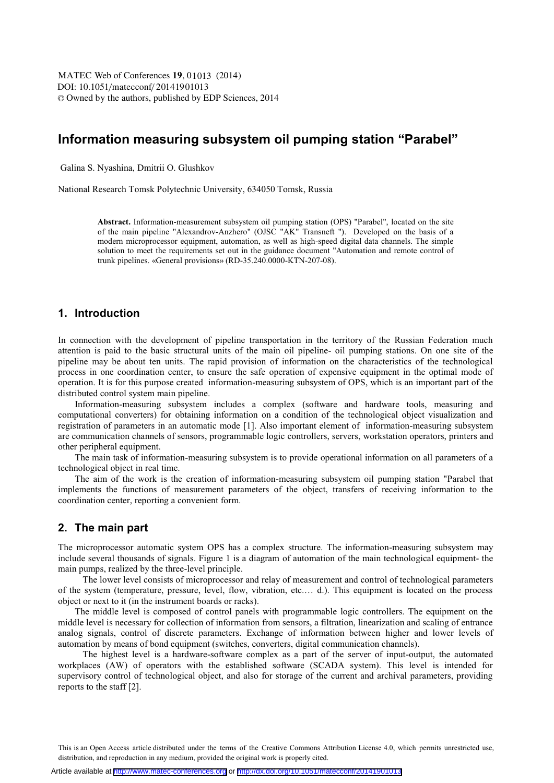DOI: 10.1051/matecconf/20141901013 -<sup>C</sup> Owned by the authors, published by EDP Sciences, 2014 MATEC Web of Conferences **19**, 01013 (2014)

# **Information measuring subsystem oil pumping station "Parabel"**

Galina S. Nyashina, Dmitrii O. Glushkov

National Research Tomsk Polytechnic University, 634050 Tomsk, Russia

**Abstract.** Information-measurement subsystem oil pumping station (OPS) "Parabel", located on the site of the main pipeline "Alexandrov-Anzhero" (OJSC "AK" Transneft "). Developed on the basis of a modern microprocessor equipment, automation, as well as high-speed digital data channels. The simple solution to meet the requirements set out in the guidance document "Automation and remote control of trunk pipelines. «General provisions» (RD-35.240.0000-KTN-207-08).

### **1. Introduction**

In connection with the development of pipeline transportation in the territory of the Russian Federation much attention is paid to the basic structural units of the main oil pipeline- oil pumping stations. On one site of the pipeline may be about ten units. The rapid provision of information on the characteristics of the technological process in one coordination center, to ensure the safe operation of expensive equipment in the optimal mode of operation. It is for this purpose created information-measuring subsystem of OPS, which is an important part of the distributed control system main pipeline.

Information-measuring subsystem includes a complex (software and hardware tools, measuring and computational converters) for obtaining information on a condition of the technological object visualization and registration of parameters in an automatic mode [1]. Also important element of information-measuring subsystem are communication channels of sensors, programmable logic controllers, servers, workstation operators, printers and other peripheral equipment.

The main task of information-measuring subsystem is to provide operational information on all parameters of a technological object in real time.

The aim of the work is the creation of information-measuring subsystem oil pumping station "Parabel that implements the functions of measurement parameters of the object, transfers of receiving information to the coordination center, reporting a convenient form.

#### **2. The main part**

The microprocessor automatic system OPS has a complex structure. The information-measuring subsystem may include several thousands of signals. Figure 1 is a diagram of automation of the main technological equipment- the main pumps, realized by the three-level principle.

The lower level consists of microprocessor and relay of measurement and control of technological parameters of the system (temperature, pressure, level, flow, vibration, etc.… d.). This equipment is located on the process object or next to it (in the instrument boards or racks).

The middle level is composed of control panels with programmable logic controllers. The equipment on the middle level is necessary for collection of information from sensors, a filtration, linearization and scaling of entrance analog signals, control of discrete parameters. Exchange of information between higher and lower levels of automation by means of bond equipment (switches, converters, digital communication channels).

The highest level is a hardware-software complex as a part of the server of input-output, the automated workplaces (AW) of operators with the established software (SCADA system). This level is intended for supervisory control of technological object, and also for storage of the current and archival parameters, providing reports to the staff [2].

This is an Open Access article distributed under the terms of the Creative Commons Attribution License 4.0, which permits unrestricted use, distribution, and reproduction in any medium, provided the original work is properly cited.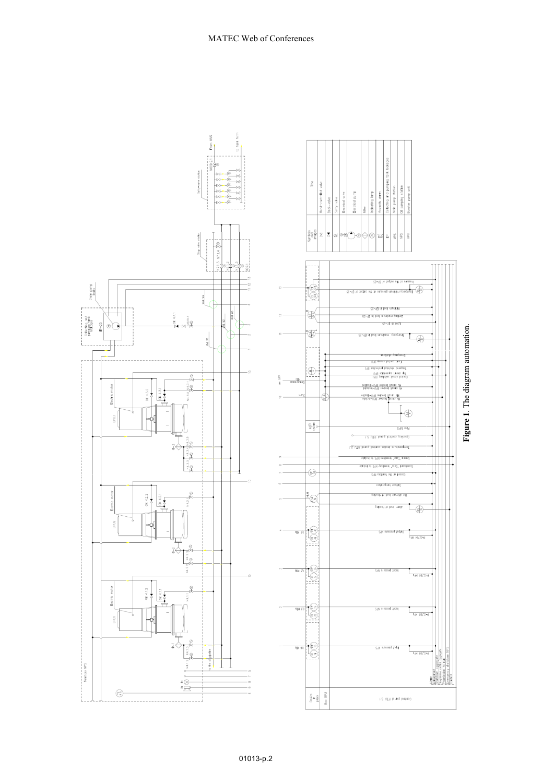